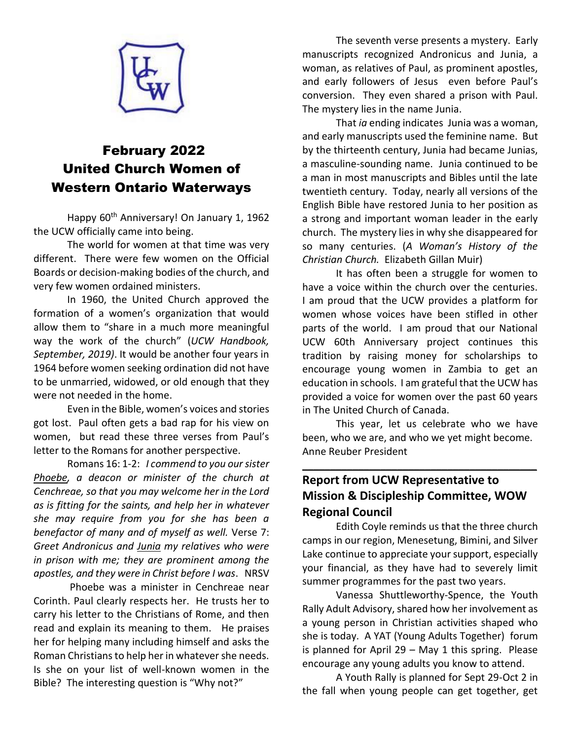

# February 2022 United Church Women of Western Ontario Waterways

Happy 60<sup>th</sup> Anniversary! On January 1, 1962 the UCW officially came into being.

The world for women at that time was very different. There were few women on the Official Boards or decision-making bodies of the church, and very few women ordained ministers.

In 1960, the United Church approved the formation of a women's organization that would allow them to "share in a much more meaningful way the work of the church" (*UCW Handbook, September, 2019)*. It would be another four years in 1964 before women seeking ordination did not have to be unmarried, widowed, or old enough that they were not needed in the home.

Even in the Bible, women's voices and stories got lost. Paul often gets a bad rap for his view on women, but read these three verses from Paul's letter to the Romans for another perspective.

Romans 16: 1-2: *I commend to you our sister Phoebe, a deacon or minister of the church at Cenchreae, so that you may welcome her in the Lord as is fitting for the saints, and help her in whatever she may require from you for she has been a benefactor of many and of myself as well.* Verse 7: *Greet Andronicus and Junia my relatives who were in prison with me; they are prominent among the apostles, and they were in Christ before I was*. NRSV

Phoebe was a minister in Cenchreae near Corinth. Paul clearly respects her. He trusts her to carry his letter to the Christians of Rome, and then read and explain its meaning to them. He praises her for helping many including himself and asks the Roman Christians to help her in whatever she needs. Is she on your list of well-known women in the Bible? The interesting question is "Why not?"

The seventh verse presents a mystery. Early manuscripts recognized Andronicus and Junia, a woman, as relatives of Paul, as prominent apostles, and early followers of Jesus even before Paul's conversion. They even shared a prison with Paul. The mystery lies in the name Junia.

That *ia* ending indicates Junia was a woman, and early manuscripts used the feminine name. But by the thirteenth century, Junia had became Junias, a masculine-sounding name. Junia continued to be a man in most manuscripts and Bibles until the late twentieth century. Today, nearly all versions of the English Bible have restored Junia to her position as a strong and important woman leader in the early church. The mystery lies in why she disappeared for so many centuries. (*A Woman's History of the Christian Church.* Elizabeth Gillan Muir)

It has often been a struggle for women to have a voice within the church over the centuries. I am proud that the UCW provides a platform for women whose voices have been stifled in other parts of the world. I am proud that our National UCW 60th Anniversary project continues this tradition by raising money for scholarships to encourage young women in Zambia to get an education in schools. I am grateful that the UCW has provided a voice for women over the past 60 years in The United Church of Canada.

This year, let us celebrate who we have been, who we are, and who we yet might become. Anne Reuber President

 $\overline{\phantom{a}}$  , and the contract of the contract of the contract of the contract of the contract of the contract of the contract of the contract of the contract of the contract of the contract of the contract of the contrac

# **Report from UCW Representative to Mission & Discipleship Committee, WOW Regional Council**

Edith Coyle reminds us that the three church camps in our region, Menesetung, Bimini, and Silver Lake continue to appreciate your support, especially your financial, as they have had to severely limit summer programmes for the past two years.

Vanessa Shuttleworthy-Spence, the Youth Rally Adult Advisory, shared how her involvement as a young person in Christian activities shaped who she is today. A YAT (Young Adults Together) forum is planned for April 29 – May 1 this spring. Please encourage any young adults you know to attend.

A Youth Rally is planned for Sept 29-Oct 2 in the fall when young people can get together, get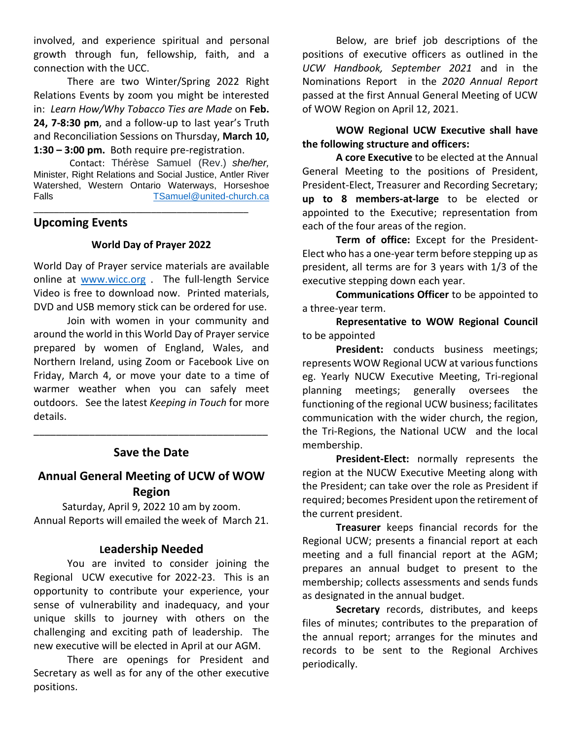involved, and experience spiritual and personal growth through fun, fellowship, faith, and a connection with the UCC.

There are two Winter/Spring 2022 Right Relations Events by zoom you might be interested in: *Learn How/Why Tobacco Ties are Made* on **Feb. 24, 7-8:30 pm**, and a follow-up to last year's Truth and Reconciliation Sessions on Thursday, **March 10, 1:30 – 3:00 pm.** Both require pre-registration.

Contact: Thérèse Samuel (Rev.) *she/her,*  Minister, Right Relations and Social Justice, Antler River Watershed, Western Ontario Waterways, Horseshoe Falls [TSamuel@united-church.ca](mailto:TSamuel@united-church.ca)

\_\_\_\_\_\_\_\_\_\_\_\_\_\_\_\_\_\_\_\_\_\_\_\_\_\_\_\_\_\_\_\_\_\_\_\_\_\_\_\_\_\_

#### **Upcoming Events**

#### **World Day of Prayer 2022**

World Day of Prayer service materials are available online at [www.wicc.org](http://www.wicc.org/) . The full-length Service Video is free to download now. Printed materials, DVD and USB memory stick can be ordered for use.

Join with women in your community and around the world in this World Day of Prayer service prepared by women of England, Wales, and Northern Ireland, using Zoom or Facebook Live on Friday, March 4, or move your date to a time of warmer weather when you can safely meet outdoors. See the latest *Keeping in Touch* for more details.

### **Save the Date**

\_\_\_\_\_\_\_\_\_\_\_\_\_\_\_\_\_\_\_\_\_\_\_\_\_\_\_\_\_\_\_\_\_\_\_\_\_\_\_\_\_\_

### **Annual General Meeting of UCW of WOW Region**

Saturday, April 9, 2022 10 am by zoom. Annual Reports will emailed the week of March 21.

#### **Leadership Needed**

You are invited to consider joining the Regional UCW executive for 2022-23. This is an opportunity to contribute your experience, your sense of vulnerability and inadequacy, and your unique skills to journey with others on the challenging and exciting path of leadership. The new executive will be elected in April at our AGM.

There are openings for President and Secretary as well as for any of the other executive positions.

Below, are brief job descriptions of the positions of executive officers as outlined in the *UCW Handbook, September 2021* and in the Nominations Report in the *2020 Annual Report* passed at the first Annual General Meeting of UCW of WOW Region on April 12, 2021.

#### **WOW Regional UCW Executive shall have the following structure and officers:**

**A core Executive** to be elected at the Annual General Meeting to the positions of President, President-Elect, Treasurer and Recording Secretary; **up to 8 members-at-large** to be elected or appointed to the Executive; representation from each of the four areas of the region.

**Term of office:** Except for the President-Elect who has a one-year term before stepping up as president, all terms are for 3 years with 1/3 of the executive stepping down each year.

**Communications Officer** to be appointed to a three-year term.

**Representative to WOW Regional Council** to be appointed

**President:** conducts business meetings; represents WOW Regional UCW at various functions eg. Yearly NUCW Executive Meeting, Tri-regional planning meetings; generally oversees the functioning of the regional UCW business; facilitates communication with the wider church, the region, the Tri-Regions, the National UCW and the local membership.

**President-Elect:** normally represents the region at the NUCW Executive Meeting along with the President; can take over the role as President if required; becomes President upon the retirement of the current president.

**Treasurer** keeps financial records for the Regional UCW; presents a financial report at each meeting and a full financial report at the AGM; prepares an annual budget to present to the membership; collects assessments and sends funds as designated in the annual budget.

**Secretary** records, distributes, and keeps files of minutes; contributes to the preparation of the annual report; arranges for the minutes and records to be sent to the Regional Archives periodically.